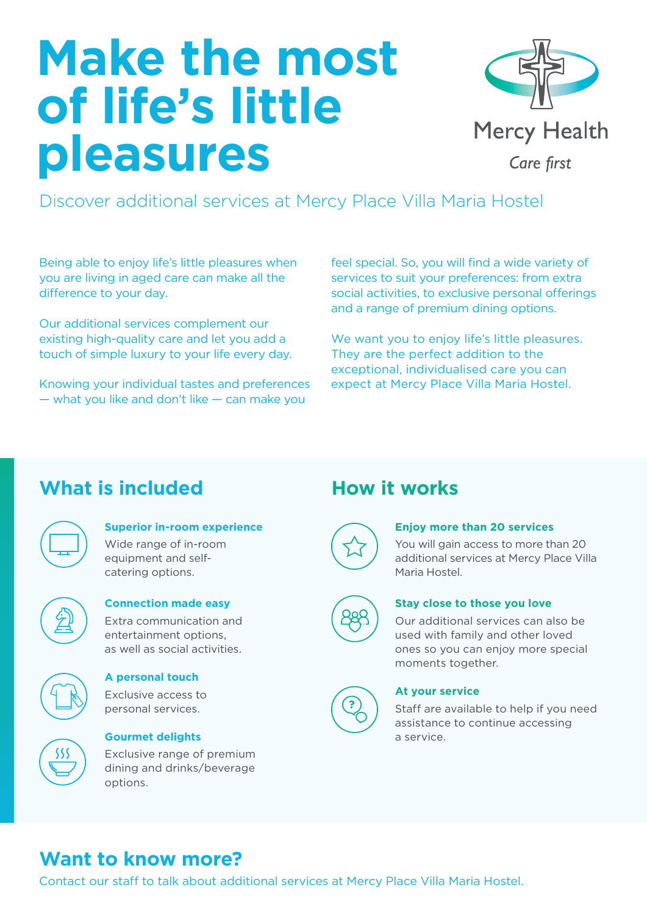# **Make the most of life's little pleasures**



Discover additional services at Mercy Place Villa Maria Hostel

Being able to enjoy life's little pleasures when you are living in aged care can make all the difference to your day.

Our additional services complement our existing high-quality care and let you add a touch of simple luxury to your life every day.

Knowing your individual tastes and preferences — what you like and don't like — can make you

feel special. So, you will find a wide variety of services to suit your preferences: from extra social activities, to exclusive personal offerings and a range of premium dining options.

We want you to enjoy life's little pleasures. They are the perfect addition to the exceptional, individualised care you can expect at Mercy Place Villa Maria Hostel.

# **What is included How it works**

| г |  |
|---|--|
|   |  |

# **Superior in-room experience**

Wide range of in-room equipment and selfcatering options.



## **Connection made easy** Extra communication and

entertainment options, as well as social activities.



#### **A personal touch**  Exclusive access to

personal services.



# **Gourmet delights**

Exclusive range of premium dining and drinks/beverage options.



#### **Enjoy more than 20 services**

You will gain access to more than 20 additional services at Mercy Place Villa Maria Hostel.



# **Stay close to those you love**

Our additional services can also be used with family and other loved ones so you can enjoy more special moments together.



### **At your service**

Staff are available to help if you need assistance to continue accessing a service.

# **Want to know more?**

Contact our staff to talk about additional services at Mercy Place Villa Maria Hostel.